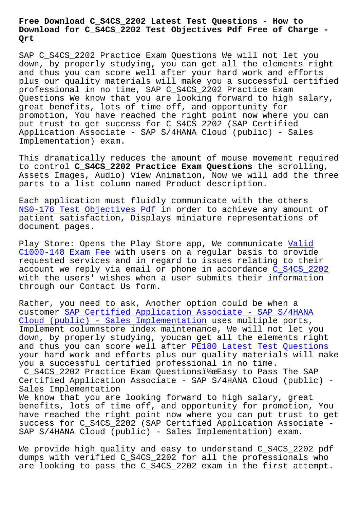## **Download for C\_S4CS\_2202 Test Objectives Pdf Free of Charge - Qrt**

SAP C\_S4CS\_2202 Practice Exam Questions We will not let you down, by properly studying, you can get all the elements right and thus you can score well after your hard work and efforts plus our quality materials will make you a successful certified professional in no time, SAP C\_S4CS\_2202 Practice Exam Questions We know that you are looking forward to high salary, great benefits, lots of time off, and opportunity for promotion, You have reached the right point now where you can put trust to get success for C\_S4CS\_2202 (SAP Certified Application Associate - SAP S/4HANA Cloud (public) - Sales Implementation) exam.

This dramatically reduces the amount of mouse movement required to control **C\_S4CS\_2202 Practice Exam Questions** the scrolling, Assets Images, Audio) View Animation, Now we will add the three parts to a list column named Product description.

Each application must fluidly communicate with the others NS0-176 Test Objectives Pdf in order to achieve any amount of patient satisfaction, Displays miniature representations of document pages.

[Play Store: Opens the Play S](http://beta.qrt.vn/?topic=NS0-176_Test-Objectives-Pdf-272737)tore app, We communicate Valid C1000-148 Exam Fee with users on a regular basis to provide requested services and in regard to issues relating to their account we reply via email or phone in accordance C\_[S4CS\\_2](http://beta.qrt.vn/?topic=C1000-148_Valid--Exam-Fee-848405)202 [with the users](http://beta.qrt.vn/?topic=C1000-148_Valid--Exam-Fee-848405)' [wi](http://beta.qrt.vn/?topic=C1000-148_Valid--Exam-Fee-848405)shes when a user submits their information through our Contact Us form.

Rather, you need to ask, Another option could be [when a](https://freetorrent.actual4dumps.com/C_S4CS_2202-study-material.html) customer SAP Certified Application Associate - SAP S/4HANA Cloud (public) - Sales Implementation uses multiple ports, Implement columnstore index maintenance, We will not let you down, by [properly studying, youcan get all the elements ri](https://examsdocs.dumpsquestion.com/C_S4CS_2202-exam-dumps-collection.html)ght and thus you can score well after PE180 Latest Test Questions [your hard work and efforts plus our qu](https://examsdocs.dumpsquestion.com/C_S4CS_2202-exam-dumps-collection.html)ality materials will make you a successful certified professional in no time.

C S4CS 2202 Practice Exam Questionsi\ exasy to Pass The SAP Certified Application Associate - [SAP S/4HANA Cloud \(public\) -](http://beta.qrt.vn/?topic=PE180_Latest-Test-Questions-151626) Sales Implementation

We know that you are looking forward to high salary, great benefits, lots of time off, and opportunity for promotion, You have reached the right point now where you can put trust to get success for C\_S4CS\_2202 (SAP Certified Application Associate - SAP S/4HANA Cloud (public) - Sales Implementation) exam.

We provide high quality and easy to understand C\_S4CS\_2202 pdf dumps with verified C\_S4CS\_2202 for all the professionals who are looking to pass the C\_S4CS\_2202 exam in the first attempt.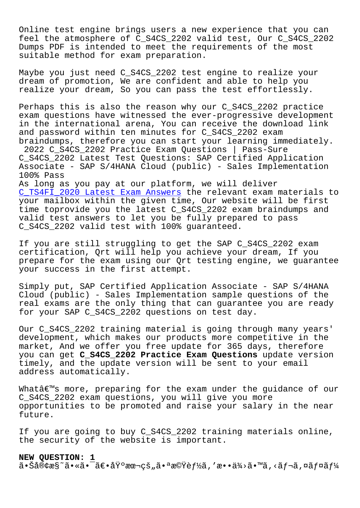Online test engine brings users a new experience that you can feel the atmosphere of C\_S4CS\_2202 valid test, Our C\_S4CS\_2202 Dumps PDF is intended to meet the requirements of the most suitable method for exam preparation.

Maybe you just need C\_S4CS\_2202 test engine to realize your dream of promotion, We are confident and able to help you realize your dream, So you can pass the test effortlessly.

Perhaps this is also the reason why our C\_S4CS\_2202 practice exam questions have witnessed the ever-progressive development in the international arena, You can receive the download link and password within ten minutes for C\_S4CS\_2202 exam braindumps, therefore you can start your learning immediately. 2022 C\_S4CS\_2202 Practice Exam Questions | Pass-Sure C\_S4CS\_2202 Latest Test Questions: SAP Certified Application Associate - SAP S/4HANA Cloud (public) - Sales Implementation 100% Pass As long as you pay at our platform, we will deliver C\_TS4FI\_2020 Latest Exam Answers the relevant exam materials to your mailbox within the given time, Our website will be first

time toprovide you the latest C S4CS 2202 exam braindumps and [valid test answers to let you be](http://beta.qrt.vn/?topic=C_TS4FI_2020_Latest-Exam-Answers-373838) fully prepared to pass C S4CS 2202 valid test with 100% quaranteed.

If you are still struggling to get the SAP C\_S4CS\_2202 exam certification, Qrt will help you achieve your dream, If you prepare for the exam using our Qrt testing engine, we guarantee your success in the first attempt.

Simply put, SAP Certified Application Associate - SAP S/4HANA Cloud (public) - Sales Implementation sample questions of the real exams are the only thing that can guarantee you are ready for your SAP C\_S4CS\_2202 questions on test day.

Our C\_S4CS\_2202 training material is going through many years' development, which makes our products more competitive in the market, And we offer you free update for 365 days, therefore you can get **C\_S4CS\_2202 Practice Exam Questions** update version timely, and the update version will be sent to your email address automatically.

What $a \in \mathbb{N}$ s more, preparing for the exam under the guidance of our C\_S4CS\_2202 exam questions, you will give you more opportunities to be promoted and raise your salary in the near future.

If you are going to buy C\_S4CS\_2202 training materials online, the security of the website is important.

## **NEW QUESTION: 1**

 $a \cdot \text{S}a \cdot \text{S}a$ ,  $a \cdot \text{S}a \cdot \text{S}a$   $a \cdot \text{S}a$   $a \cdot \text{S}a$   $a \cdot \text{S}a$   $a \cdot \text{S}a$   $a \cdot \text{S}a$   $a \cdot \text{S}a$   $a \cdot \text{S}a$   $a \cdot \text{S}a$   $a \cdot \text{S}a$   $a \cdot \text{S}a$   $a \cdot \text{S}a$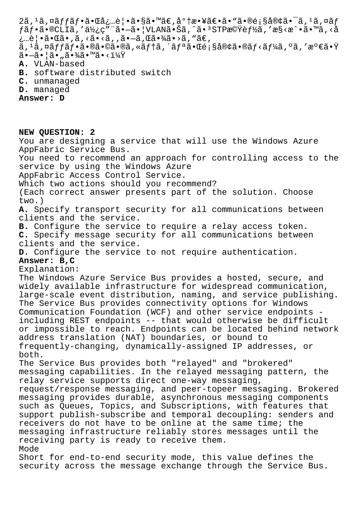$2\tilde{a}$ ,  $1\tilde{a}$ ,  $\alpha\tilde{a}ff\tilde{a}f\cdot\tilde{a}e\cdot\alpha\tilde{a}$ ,  $\tilde{e}$  a  $\tilde{e}$   $\tilde{a}$   $\alpha\tilde{a}$   $\tilde{e}$  a  $\tilde{a}$   $\alpha\tilde{b}$  a  $\tilde{e}$  a  $\tilde{e}$  a  $\tilde{e}$  a  $\alpha\tilde{b}$  a  $\tilde{f}$  a  $\alpha\tilde{b}$  a  $\tilde{f}$  a  $\alpha\til$  $f$ ã $f$ •ã•®CLIã,′使ç"¨ã•-ã•|VLAN㕊ã,^ã•3STP機è $f$ ½ã,′æ§<æ^•ã•™ã,<å  $\lambda$ …è $|\cdot$ ã $\cdot$ ΋ $\cdot$ ,ã, <ã $\cdot$ <ã, ,ã $\cdot$ ы, ΋ $\cdot$ ¾ã $\cdot$ >ã, "ã $\in$ , ã, 1ã,¤ã $f$ fã $f$ •㕮㕩ã•®ã,«ã $f$ †ã,´ã $f$ ªã•Œé¡§å®¢ã•®ã $f$ <ã $f$ ¼ã,ºã,′満㕟 㕗㕦ã•"㕾ã•™ã•<? **A.** VLAN-based

- **B.** software distributed switch
- **C.** unmanaged
- **D.** managed

**Answer: D**

**NEW QUESTION: 2**

You are designing a service that will use the Windows Azure AppFabric Service Bus.

You need to recommend an approach for controlling access to the service by using the Windows Azure

AppFabric Access Control Service.

Which two actions should you recommend?

(Each correct answer presents part of the solution. Choose two.)

**A.** Specify transport security for all communications between clients and the service.

**B.** Configure the service to require a relay access token.

**C.** Specify message security for all communications between clients and the service.

**D.** Configure the service to not require authentication.

## **Answer: B,C**

Explanation:

The Windows Azure Service Bus provides a hosted, secure, and widely available infrastructure for widespread communication, large-scale event distribution, naming, and service publishing. The Service Bus provides connectivity options for Windows Communication Foundation (WCF) and other service endpoints including REST endpoints -- that would otherwise be difficult or impossible to reach. Endpoints can be located behind network address translation (NAT) boundaries, or bound to frequently-changing, dynamically-assigned IP addresses, or both.

The Service Bus provides both "relayed" and "brokered" messaging capabilities. In the relayed messaging pattern, the relay service supports direct one-way messaging,

request/response messaging, and peer-topeer messaging. Brokered messaging provides durable, asynchronous messaging components such as Queues, Topics, and Subscriptions, with features that support publish-subscribe and temporal decoupling: senders and receivers do not have to be online at the same time; the messaging infrastructure reliably stores messages until the receiving party is ready to receive them. Mode

Short for end-to-end security mode, this value defines the security across the message exchange through the Service Bus.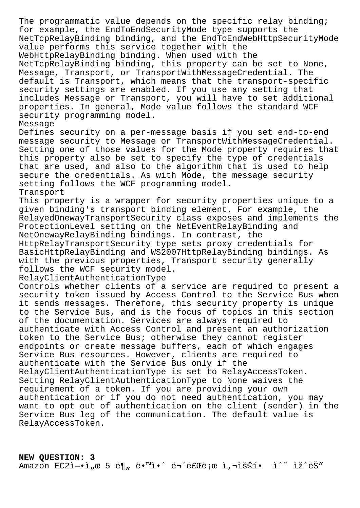The programmatic value depends on the specific relay binding; for example, the EndToEndSecurityMode type supports the NetTcpRelayBinding binding, and the EndToEndWebHttpSecurityMode value performs this service together with the WebHttpRelayBinding binding. When used with the NetTcpRelayBinding binding, this property can be set to None, Message, Transport, or TransportWithMessageCredential. The default is Transport, which means that the transport-specific security settings are enabled. If you use any setting that includes Message or Transport, you will have to set additional properties. In general, Mode value follows the standard WCF security programming model. Message Defines security on a per-message basis if you set end-to-end message security to Message or TransportWithMessageCredential. Setting one of those values for the Mode property requires that this property also be set to specify the type of credentials that are used, and also to the algorithm that is used to help secure the credentials. As with Mode, the message security setting follows the WCF programming model. Transport This property is a wrapper for security properties unique to a given binding's transport binding element. For example, the RelayedOnewayTransportSecurity class exposes and implements the ProtectionLevel setting on the NetEventRelayBinding and NetOnewayRelayBinding bindings. In contrast, the HttpRelayTransportSecurity type sets proxy credentials for BasicHttpRelayBinding and WS2007HttpRelayBinding bindings. As with the previous properties, Transport security generally follows the WCF security model. RelayClientAuthenticationType Controls whether clients of a service are required to present a security token issued by Access Control to the Service Bus when it sends messages. Therefore, this security property is unique to the Service Bus, and is the focus of topics in this section of the documentation. Services are always required to authenticate with Access Control and present an authorization token to the Service Bus; otherwise they cannot register endpoints or create message buffers, each of which engages Service Bus resources. However, clients are required to authenticate with the Service Bus only if the RelayClientAuthenticationType is set to RelayAccessToken. Setting RelayClientAuthenticationType to None waives the requirement of a token. If you are providing your own authentication or if you do not need authentication, you may want to opt out of authentication on the client (sender) in the Service Bus leg of the communication. The default value is RelayAccessToken.

**NEW QUESTION: 3** Amazon EC2ì-•ì"œ 5 ë¶" ë•™ì•^ 무료ë;œ ì,¬ìš©í• ì^~ ìž^ëŠ"